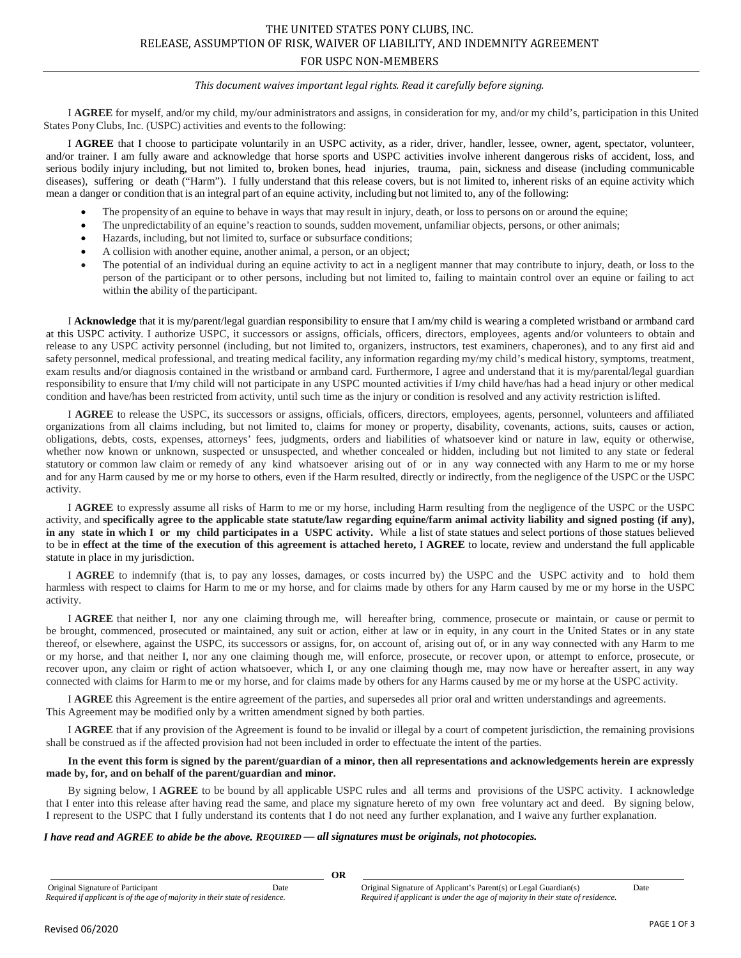# *This document waives important legal rights. Read it carefully before signing.*

I **AGREE** for myself, and/or my child, my/our administrators and assigns, in consideration for my, and/or my child's, participation in this United States Pony Clubs, Inc. (USPC) activities and events to the following:

I **AGREE** that I choose to participate voluntarily in an USPC activity, as a rider, driver, handler, lessee, owner, agent, spectator, volunteer, and/or trainer. I am fully aware and acknowledge that horse sports and USPC activities involve inherent dangerous risks of accident, loss, and serious bodily injury including, but not limited to, broken bones, head injuries, trauma, pain, sickness and disease (including communicable diseases), suffering or death ("Harm"). I fully understand that this release covers, but is not limited to, inherent risks of an equine activity which mean a danger or condition that is an integral part of an equine activity, including but not limited to, any of the following:

- The propensity of an equine to behave in ways that may result in injury, death, or loss to persons on or around the equine;
- The unpredictability of an equine's reaction to sounds, sudden movement, unfamiliar objects, persons, or other animals;
- Hazards, including, but not limited to, surface or subsurface conditions;
- A collision with another equine, another animal, a person, or an object;
- The potential of an individual during an equine activity to act in a negligent manner that may contribute to injury, death, or loss to the person of the participant or to other persons, including but not limited to, failing to maintain control over an equine or failing to act within the ability of the participant.

I **Acknowledge** that it is my/parent/legal guardian responsibility to ensure that I am/my child is wearing a completed wristband or armband card at this USPC activity. I authorize USPC, it successors or assigns, officials, officers, directors, employees, agents and/or volunteers to obtain and release to any USPC activity personnel (including, but not limited to, organizers, instructors, test examiners, chaperones), and to any first aid and safety personnel, medical professional, and treating medical facility, any information regarding my/my child's medical history, symptoms, treatment, exam results and/or diagnosis contained in the wristband or armband card. Furthermore, I agree and understand that it is my/parental/legal guardian responsibility to ensure that I/my child will not participate in any USPC mounted activities if I/my child have/has had a head injury or other medical condition and have/has been restricted from activity, until such time as the injury or condition is resolved and any activity restriction islifted.

I **AGREE** to release the USPC, its successors or assigns, officials, officers, directors, employees, agents, personnel, volunteers and affiliated organizations from all claims including, but not limited to, claims for money or property, disability, covenants, actions, suits, causes or action, obligations, debts, costs, expenses, attorneys' fees, judgments, orders and liabilities of whatsoever kind or nature in law, equity or otherwise, whether now known or unknown, suspected or unsuspected, and whether concealed or hidden, including but not limited to any state or federal statutory or common law claim or remedy of any kind whatsoever arising out of or in any way connected with any Harm to me or my horse and for any Harm caused by me or my horse to others, even if the Harm resulted, directly or indirectly, from the negligence of the USPC or the USPC activity.

I **AGREE** to expressly assume all risks of Harm to me or my horse, including Harm resulting from the negligence of the USPC or the USPC activity, and **specifically agree to the applicable state statute/law regarding equine/farm animal activity liability and signed posting (if any), in any state in which I or my child participates in a USPC activity.** While a list of state statues and select portions of those statues believed to be in **effect at the time of the execution of this agreement is attached hereto,** I **AGREE** to locate, review and understand the full applicable statute in place in my jurisdiction.

I **AGREE** to indemnify (that is, to pay any losses, damages, or costs incurred by) the USPC and the USPC activity and to hold them harmless with respect to claims for Harm to me or my horse, and for claims made by others for any Harm caused by me or my horse in the USPC activity.

I **AGREE** that neither I, nor any one claiming through me, will hereafter bring, commence, prosecute or maintain, or cause or permit to be brought, commenced, prosecuted or maintained, any suit or action, either at law or in equity, in any court in the United States or in any state thereof, or elsewhere, against the USPC, its successors or assigns, for, on account of, arising out of, or in any way connected with any Harm to me or my horse, and that neither I, nor any one claiming though me, will enforce, prosecute, or recover upon, or attempt to enforce, prosecute, or recover upon, any claim or right of action whatsoever, which I, or any one claiming though me, may now have or hereafter assert, in any way connected with claims for Harm to me or my horse, and for claims made by others for any Harms caused by me or my horse at the USPC activity.

I **AGREE** this Agreement is the entire agreement of the parties, and supersedes all prior oral and written understandings and agreements. This Agreement may be modified only by a written amendment signed by both parties.

I **AGREE** that if any provision of the Agreement is found to be invalid or illegal by a court of competent jurisdiction, the remaining provisions shall be construed as if the affected provision had not been included in order to effectuate the intent of the parties.

### **In the event this form is signed by the parent/guardian of a minor, then all representations and acknowledgements herein are expressly made by, for, and on behalf of the parent/guardian and minor.**

By signing below, I **AGREE** to be bound by all applicable USPC rules and all terms and provisions of the USPC activity. I acknowledge that I enter into this release after having read the same, and place my signature hereto of my own free voluntary act and deed. By signing below, I represent to the USPC that I fully understand its contents that I do not need any further explanation, and I waive any further explanation.

## *I have read and AGREE to abide be the above. REQUIRED* **—** *all signatures must be originals, not photocopies.*

Original Signature of Participant Date Date Date Original Signature of Applicant's Parent(s) or Legal Guardian(s) Date<br>Required if applicant is under the age of majority in their state of residence. Required if applicant i Required if applicant is under the age of majority in their state of residence.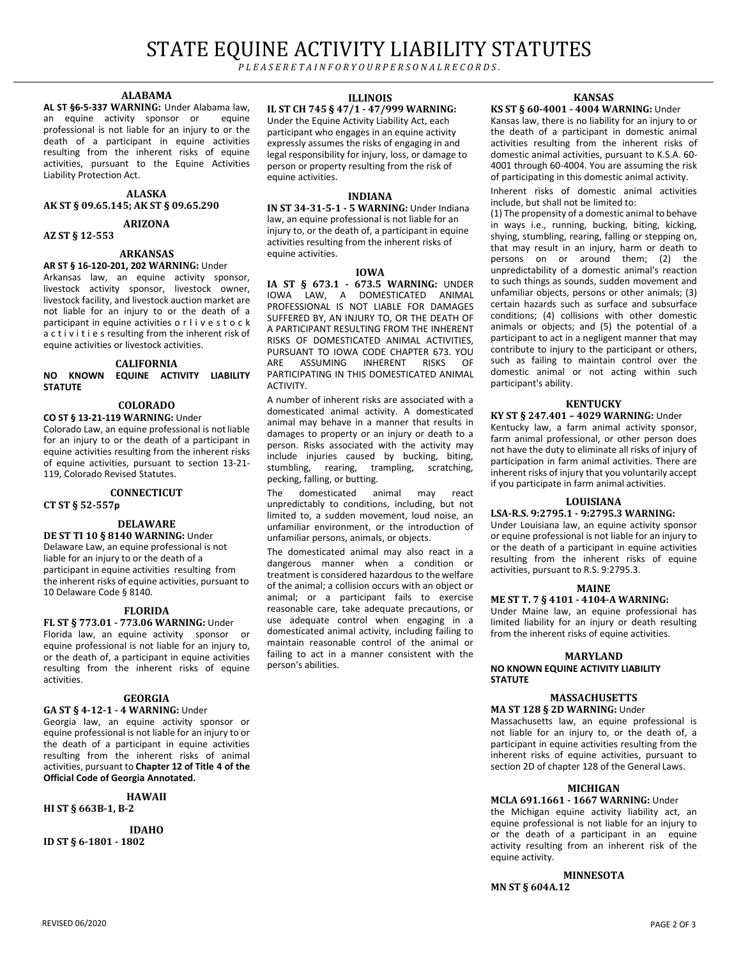# STATE EQUINE ACTIVITY LIABILITY STATUTES

*P L E A S E R E T A I N F O R Y O U R P E R S O N A L R E C O R D S .*

#### **ALABAMA**

**AL ST §6-5-337 WARNING:** Under Alabama law, an equine activity sponsor or professional is not liable for an injury to or the death of a participant in equine activities resulting from the inherent risks of equine activities, pursuant to the Equine Activities Liability Protection Act.

#### **ALASKA AK ST § 09.65.145; AK ST § 09.65.290**

**ARIZONA**

**AZ ST § 12-553**

# **ARKANSAS**

**AR ST § 16-120-201, 202 WARNING:** Under Arkansas law, an equine activity sponsor, livestock activity sponsor, livestock owner, livestock facility, and livestock auction market are not liable for an injury to or the death of a participant in equine activities o r l i v e s t o c k a c t i v i t i e s resulting from the inherent risk of equine activities or livestock activities.

### **CALIFORNIA NO KNOWN EQUINE ACTIVITY LIABILITY STATUTE**

# **COLORADO**

**CO ST § 13-21-119 WARNING:** Under Colorado Law, an equine professional is not liable for an injury to or the death of a participant in equine activities resulting from the inherent risks of equine activities, pursuant to section 13-21- 119, Colorado Revised Statutes.

# **CONNECTICUT**

**CT ST § 52-557p**

# **DELAWARE**

**DE ST TI 10 § 8140 WARNING:** Under Delaware Law, an equine professional is not liable for an injury to or the death of a participant in equine activities resulting from the inherent risks of equine activities, pursuant to 10 Delaware Code § 8140.

### **FLORIDA**

**FL ST § 773.01 - 773.06 WARNING:** Under Florida law, an equine activity sponsor or equine professional is not liable for an injury to, or the death of, a participant in equine activities resulting from the inherent risks of equine activities.

### **GEORGIA**

**GA ST § 4-12-1 - 4 WARNING:** Under Georgia law, an equine activity sponsor or equine professional is not liable for an injury to or the death of a participant in equine activities resulting from the inherent risks of animal activities, pursuant to **Chapter 12 of Title 4 of the Official Code of Georgia Annotated.**

#### **HAWAII**

**HI ST § 663B-1, B-2**

**IDAHO ID ST § 6-1801 - 1802**

#### **ILLINOIS**

**IL ST CH 745 § 47/1 - 47/999 WARNING:** Under the Equine Activity Liability Act, each participant who engages in an equine activity expressly assumes the risks of engaging in and legal responsibility for injury, loss, or damage to person or property resulting from the risk of equine activities.

#### **INDIANA**

**IN ST 34-31-5-1 - 5 WARNING:** Under Indiana law, an equine professional is not liable for an injury to, or the death of, a participant in equine activities resulting from the inherent risks of equine activities.

#### **IOWA**

**IA ST § 673.1 - 673.5 WARNING:** UNDER IOWA LAW, A DOMESTICATED ANIMAL PROFESSIONAL IS NOT LIABLE FOR DAMAGES SUFFERED BY, AN INJURY TO, OR THE DEATH OF A PARTICIPANT RESULTING FROM THE INHERENT RISKS OF DOMESTICATED ANIMAL ACTIVITIES, PURSUANT TO IOWA CODE CHAPTER 673. YOU<br>ARE ASSUMING INHERENT RISKS OF ASSUMING INHERENT RISKS OF PARTICIPATING IN THIS DOMESTICATED ANIMAL ACTIVITY.

A number of inherent risks are associated with a domesticated animal activity. A domesticated animal may behave in a manner that results in damages to property or an injury or death to a person. Risks associated with the activity may include injuries caused by bucking, biting,<br>stumbling, rearing, trampling, scratching, trampling, scratching, pecking, falling, or butting.

The domesticated animal may react unpredictably to conditions, including, but not limited to, a sudden movement, loud noise, an unfamiliar environment, or the introduction of unfamiliar persons, animals, or objects.

The domesticated animal may also react in a dangerous manner when a condition or treatment is considered hazardous to the welfare of the animal; a collision occurs with an object or animal; or a participant fails to exercise reasonable care, take adequate precautions, or use adequate control when engaging in a domesticated animal activity, including failing to maintain reasonable control of the animal or failing to act in a manner consistent with the person's abilities.

#### **KANSAS**

#### **KS ST § 60-4001 - 4004 WARNING:** Under

Kansas law, there is no liability for an injury to or the death of a participant in domestic animal activities resulting from the inherent risks of domestic animal activities, pursuant to K.S.A. 60- 4001 through 60-4004. You are assuming the risk of participating in this domestic animal activity.

Inherent risks of domestic animal activities include, but shall not be limited to:

(1) The propensity of a domestic animal to behave in ways i.e., running, bucking, biting, kicking, shying, stumbling, rearing, falling or stepping on, that may result in an injury, harm or death to persons on or around them; (2) the unpredictability of a domestic animal's reaction to such things as sounds, sudden movement and unfamiliar objects, persons or other animals; (3) certain hazards such as surface and subsurface conditions; (4) collisions with other domestic animals or objects; and (5) the potential of a participant to act in a negligent manner that may contribute to injury to the participant or others, such as failing to maintain control over the domestic animal or not acting within such participant's ability.

# **KENTUCKY**

## **KY ST § 247.401 – 4029 WARNING:** Under

Kentucky law, a farm animal activity sponsor, farm animal professional, or other person does not have the duty to eliminate all risks of injury of participation in farm animal activities. There are inherent risks of injury that you voluntarily accept if you participate in farm animal activities.

#### **LOUISIANA**

**LSA-R.S. 9:2795.1 - 9:2795.3 WARNING:** Under Louisiana law, an equine activity sponsor or equine professional is not liable for an injury to or the death of a participant in equine activities resulting from the inherent risks of equine activities, pursuant to R.S. 9:2795.3.

#### **MAINE**

# **ME ST T. 7 § 4101 - 4104-A WARNING:**

Under Maine law, an equine professional has limited liability for an injury or death resulting from the inherent risks of equine activities.

#### **MARYLAND**

#### **NO KNOWN EQUINE ACTIVITY LIABILITY STATUTE**

#### **MASSACHUSETTS MA ST 128 § 2D WARNING:** Under

Massachusetts law, an equine professional is not liable for an injury to, or the death of, a participant in equine activities resulting from the inherent risks of equine activities, pursuant to section 2D of chapter 128 of the General Laws.

### **MICHIGAN**

**MCLA 691.1661 - 1667 WARNING:** Under the Michigan equine activity liability act, an equine professional is not liable for an injury to or the death of a participant in an equine activity resulting from an inherent risk of the equine activity.

#### **MINNESOTA**

**MN ST § 604A.12**